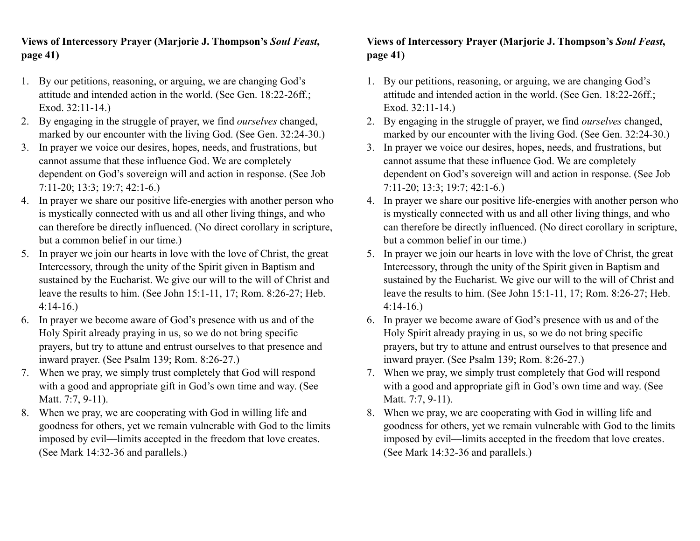## **Views of Intercessory Prayer (Marjorie J. Thompson's** *Soul Feast***, page 41)**

- 1. By our petitions, reasoning, or arguing, we are changing God's attitude and intended action in the world. (See Gen. 18:22-26ff.; Exod. 32:11-14.)
- 2. By engaging in the struggle of prayer, we find *ourselves* changed, marked by our encounter with the living God. (See Gen. 32:24-30.)
- 3. In prayer we voice our desires, hopes, needs, and frustrations, but cannot assume that these influence God. We are completely dependent on God's sovereign will and action in response. (See Job 7:11-20; 13:3; 19:7; 42:1-6.)
- 4. In prayer we share our positive life-energies with another person who is mystically connected with us and all other living things, and who can therefore be directly influenced. (No direct corollary in scripture, but a common belief in our time.)
- 5. In prayer we join our hearts in love with the love of Christ, the great Intercessory, through the unity of the Spirit given in Baptism and sustained by the Eucharist. We give our will to the will of Christ and leave the results to him. (See John 15:1-11, 17; Rom. 8:26-27; Heb. 4:14-16.)
- 6. In prayer we become aware of God's presence with us and of the Holy Spirit already praying in us, so we do not bring specific prayers, but try to attune and entrust ourselves to that presence and inward prayer. (See Psalm 139; Rom. 8:26-27.)
- 7. When we pray, we simply trust completely that God will respond with a good and appropriate gift in God's own time and way. (See Matt. 7:7, 9-11).
- 8. When we pray, we are cooperating with God in willing life and goodness for others, yet we remain vulnerable with God to the limits imposed by evil––limits accepted in the freedom that love creates. (See Mark 14:32-36 and parallels.)

## **Views of Intercessory Prayer (Marjorie J. Thompson's** *Soul Feast***, page 41)**

- 1. By our petitions, reasoning, or arguing, we are changing God's attitude and intended action in the world. (See Gen. 18:22-26ff.; Exod. 32:11-14.)
- 2. By engaging in the struggle of prayer, we find *ourselves* changed, marked by our encounter with the living God. (See Gen. 32:24-30.)
- 3. In prayer we voice our desires, hopes, needs, and frustrations, but cannot assume that these influence God. We are completely dependent on God's sovereign will and action in response. (See Job 7:11-20; 13:3; 19:7; 42:1-6.)
- 4. In prayer we share our positive life-energies with another person who is mystically connected with us and all other living things, and who can therefore be directly influenced. (No direct corollary in scripture, but a common belief in our time.)
- 5. In prayer we join our hearts in love with the love of Christ, the great Intercessory, through the unity of the Spirit given in Baptism and sustained by the Eucharist. We give our will to the will of Christ and leave the results to him. (See John 15:1-11, 17; Rom. 8:26-27; Heb. 4:14-16.)
- 6. In prayer we become aware of God's presence with us and of the Holy Spirit already praying in us, so we do not bring specific prayers, but try to attune and entrust ourselves to that presence and inward prayer. (See Psalm 139; Rom. 8:26-27.)
- 7. When we pray, we simply trust completely that God will respond with a good and appropriate gift in God's own time and way. (See Matt. 7:7, 9-11).
- 8. When we pray, we are cooperating with God in willing life and goodness for others, yet we remain vulnerable with God to the limits imposed by evil––limits accepted in the freedom that love creates. (See Mark 14:32-36 and parallels.)